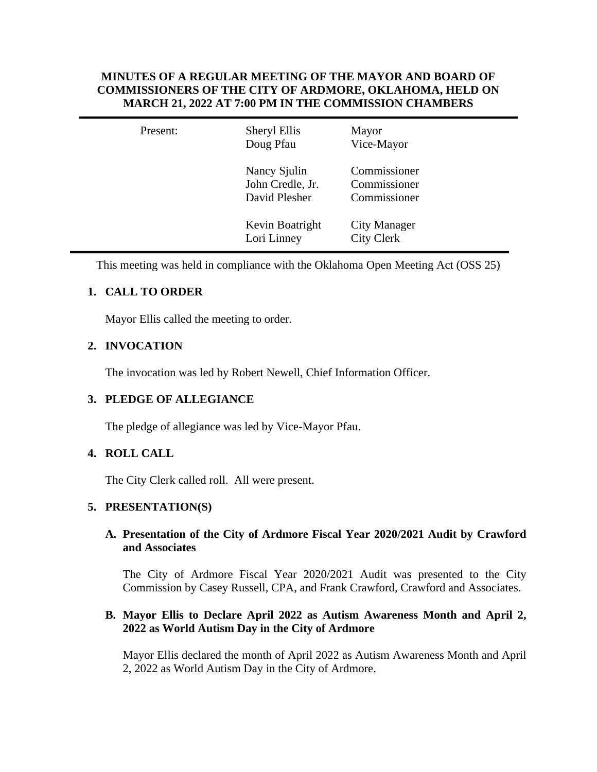## **MINUTES OF A REGULAR MEETING OF THE MAYOR AND BOARD OF COMMISSIONERS OF THE CITY OF ARDMORE, OKLAHOMA, HELD ON MARCH 21, 2022 AT 7:00 PM IN THE COMMISSION CHAMBERS**

| Present: | Sheryl Ellis<br>Doug Pfau                         | Mayor<br>Vice-Mayor                          |  |
|----------|---------------------------------------------------|----------------------------------------------|--|
|          | Nancy Sjulin<br>John Credle, Jr.<br>David Plesher | Commissioner<br>Commissioner<br>Commissioner |  |
|          | Kevin Boatright<br>Lori Linney                    | <b>City Manager</b><br><b>City Clerk</b>     |  |

This meeting was held in compliance with the Oklahoma Open Meeting Act (OSS 25)

# **1. CALL TO ORDER**

Mayor Ellis called the meeting to order.

# **2. INVOCATION**

The invocation was led by Robert Newell, Chief Information Officer.

## **3. PLEDGE OF ALLEGIANCE**

The pledge of allegiance was led by Vice-Mayor Pfau.

## **4. ROLL CALL**

The City Clerk called roll. All were present.

## **5. PRESENTATION(S)**

### **A. Presentation of the City of Ardmore Fiscal Year 2020/2021 Audit by Crawford and Associates**

The City of Ardmore Fiscal Year 2020/2021 Audit was presented to the City Commission by Casey Russell, CPA, and Frank Crawford, Crawford and Associates.

## **B. Mayor Ellis to Declare April 2022 as Autism Awareness Month and April 2, 2022 as World Autism Day in the City of Ardmore**

Mayor Ellis declared the month of April 2022 as Autism Awareness Month and April 2, 2022 as World Autism Day in the City of Ardmore.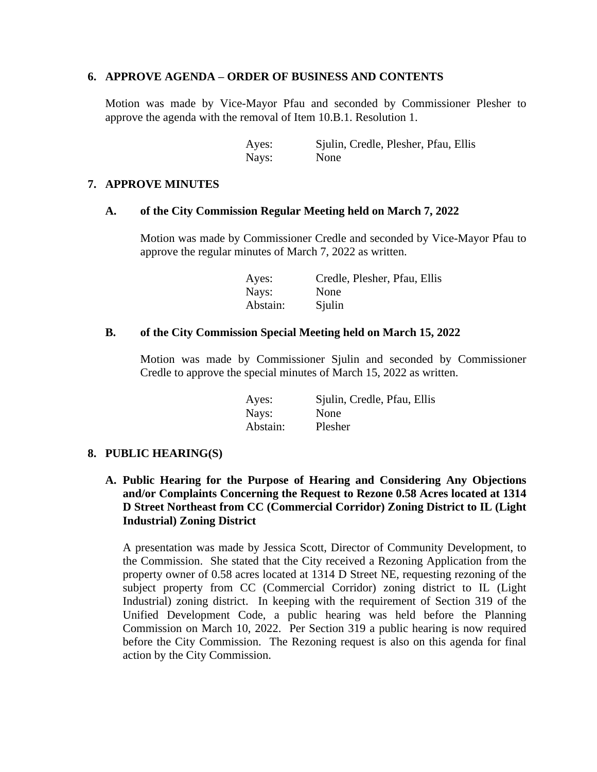#### **6. APPROVE AGENDA – ORDER OF BUSINESS AND CONTENTS**

Motion was made by Vice-Mayor Pfau and seconded by Commissioner Plesher to approve the agenda with the removal of Item 10.B.1. Resolution 1.

> Ayes: Sjulin, Credle, Plesher, Pfau, Ellis Nays: None

#### **7. APPROVE MINUTES**

#### **A. of the City Commission Regular Meeting held on March 7, 2022**

Motion was made by Commissioner Credle and seconded by Vice-Mayor Pfau to approve the regular minutes of March 7, 2022 as written.

> Ayes: Credle, Plesher, Pfau, Ellis Nays: None Abstain: Sjulin

#### **B. of the City Commission Special Meeting held on March 15, 2022**

Motion was made by Commissioner Sjulin and seconded by Commissioner Credle to approve the special minutes of March 15, 2022 as written.

| Ayes:    | Sjulin, Credle, Pfau, Ellis |
|----------|-----------------------------|
| Nays:    | None                        |
| Abstain: | Plesher                     |

#### **8. PUBLIC HEARING(S)**

**A. Public Hearing for the Purpose of Hearing and Considering Any Objections and/or Complaints Concerning the Request to Rezone 0.58 Acres located at 1314 D Street Northeast from CC (Commercial Corridor) Zoning District to IL (Light Industrial) Zoning District**

A presentation was made by Jessica Scott, Director of Community Development, to the Commission. She stated that the City received a Rezoning Application from the property owner of 0.58 acres located at 1314 D Street NE, requesting rezoning of the subject property from CC (Commercial Corridor) zoning district to IL (Light Industrial) zoning district. In keeping with the requirement of Section 319 of the Unified Development Code, a public hearing was held before the Planning Commission on March 10, 2022. Per Section 319 a public hearing is now required before the City Commission. The Rezoning request is also on this agenda for final action by the City Commission.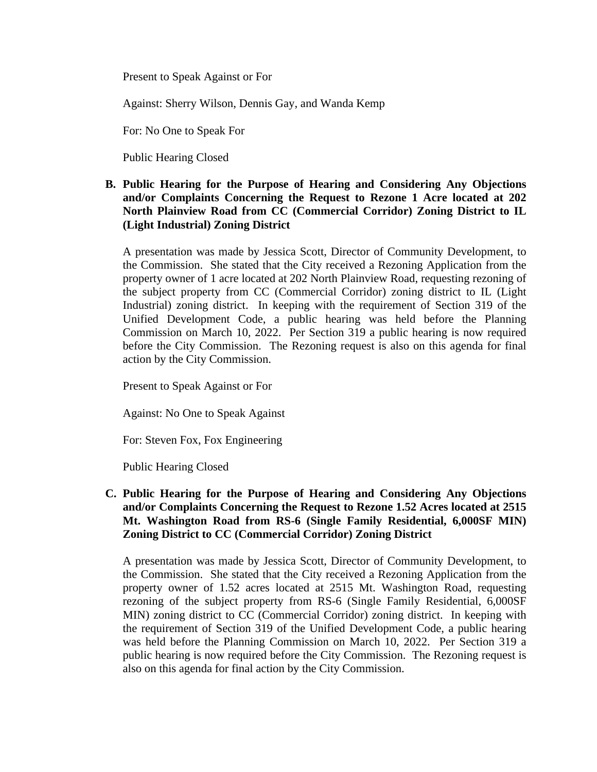Present to Speak Against or For

Against: Sherry Wilson, Dennis Gay, and Wanda Kemp

For: No One to Speak For

Public Hearing Closed

**B. Public Hearing for the Purpose of Hearing and Considering Any Objections and/or Complaints Concerning the Request to Rezone 1 Acre located at 202 North Plainview Road from CC (Commercial Corridor) Zoning District to IL (Light Industrial) Zoning District**

A presentation was made by Jessica Scott, Director of Community Development, to the Commission. She stated that the City received a Rezoning Application from the property owner of 1 acre located at 202 North Plainview Road, requesting rezoning of the subject property from CC (Commercial Corridor) zoning district to IL (Light Industrial) zoning district. In keeping with the requirement of Section 319 of the Unified Development Code, a public hearing was held before the Planning Commission on March 10, 2022. Per Section 319 a public hearing is now required before the City Commission. The Rezoning request is also on this agenda for final action by the City Commission.

Present to Speak Against or For

Against: No One to Speak Against

For: Steven Fox, Fox Engineering

Public Hearing Closed

### **C. Public Hearing for the Purpose of Hearing and Considering Any Objections and/or Complaints Concerning the Request to Rezone 1.52 Acres located at 2515 Mt. Washington Road from RS-6 (Single Family Residential, 6,000SF MIN) Zoning District to CC (Commercial Corridor) Zoning District**

A presentation was made by Jessica Scott, Director of Community Development, to the Commission. She stated that the City received a Rezoning Application from the property owner of 1.52 acres located at 2515 Mt. Washington Road, requesting rezoning of the subject property from RS-6 (Single Family Residential, 6,000SF MIN) zoning district to CC (Commercial Corridor) zoning district. In keeping with the requirement of Section 319 of the Unified Development Code, a public hearing was held before the Planning Commission on March 10, 2022. Per Section 319 a public hearing is now required before the City Commission. The Rezoning request is also on this agenda for final action by the City Commission.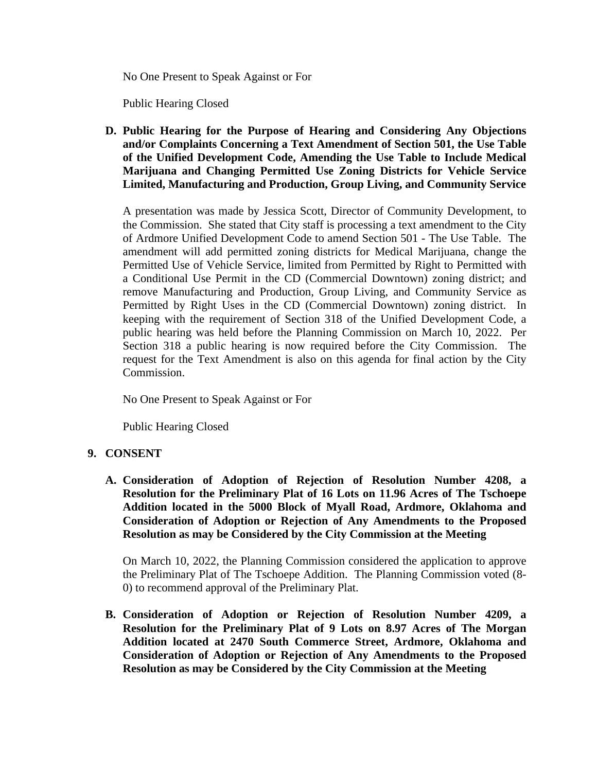No One Present to Speak Against or For

Public Hearing Closed

**D. Public Hearing for the Purpose of Hearing and Considering Any Objections and/or Complaints Concerning a Text Amendment of Section 501, the Use Table of the Unified Development Code, Amending the Use Table to Include Medical Marijuana and Changing Permitted Use Zoning Districts for Vehicle Service Limited, Manufacturing and Production, Group Living, and Community Service**

A presentation was made by Jessica Scott, Director of Community Development, to the Commission. She stated that City staff is processing a text amendment to the City of Ardmore Unified Development Code to amend Section 501 - The Use Table. The amendment will add permitted zoning districts for Medical Marijuana, change the Permitted Use of Vehicle Service, limited from Permitted by Right to Permitted with a Conditional Use Permit in the CD (Commercial Downtown) zoning district; and remove Manufacturing and Production, Group Living, and Community Service as Permitted by Right Uses in the CD (Commercial Downtown) zoning district. In keeping with the requirement of Section 318 of the Unified Development Code, a public hearing was held before the Planning Commission on March 10, 2022. Per Section 318 a public hearing is now required before the City Commission. The request for the Text Amendment is also on this agenda for final action by the City Commission.

No One Present to Speak Against or For

Public Hearing Closed

## **9. CONSENT**

**A. Consideration of Adoption of Rejection of Resolution Number 4208, a Resolution for the Preliminary Plat of 16 Lots on 11.96 Acres of The Tschoepe Addition located in the 5000 Block of Myall Road, Ardmore, Oklahoma and Consideration of Adoption or Rejection of Any Amendments to the Proposed Resolution as may be Considered by the City Commission at the Meeting**

On March 10, 2022, the Planning Commission considered the application to approve the Preliminary Plat of The Tschoepe Addition. The Planning Commission voted (8- 0) to recommend approval of the Preliminary Plat.

**B. Consideration of Adoption or Rejection of Resolution Number 4209, a Resolution for the Preliminary Plat of 9 Lots on 8.97 Acres of The Morgan Addition located at 2470 South Commerce Street, Ardmore, Oklahoma and Consideration of Adoption or Rejection of Any Amendments to the Proposed Resolution as may be Considered by the City Commission at the Meeting**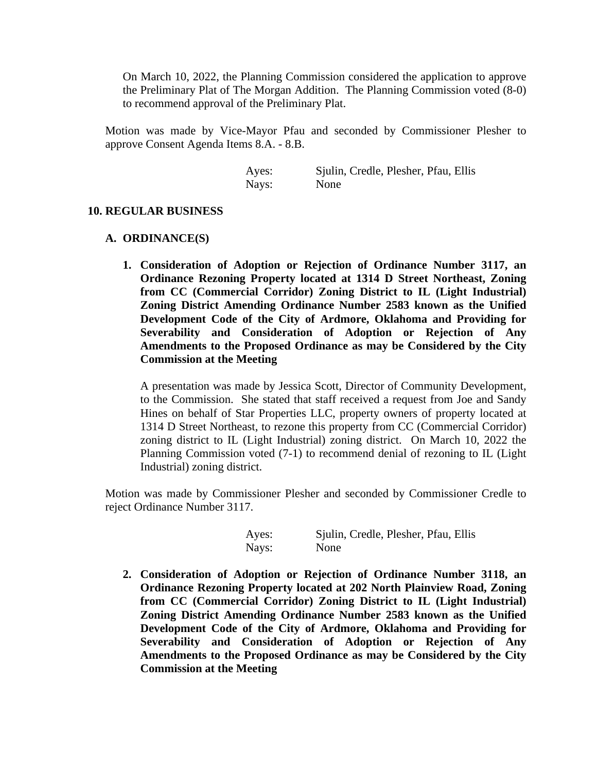On March 10, 2022, the Planning Commission considered the application to approve the Preliminary Plat of The Morgan Addition. The Planning Commission voted (8-0) to recommend approval of the Preliminary Plat.

Motion was made by Vice-Mayor Pfau and seconded by Commissioner Plesher to approve Consent Agenda Items 8.A. - 8.B.

> Ayes: Sjulin, Credle, Plesher, Pfau, Ellis Nays: None

#### **10. REGULAR BUSINESS**

#### **A. ORDINANCE(S)**

**1. Consideration of Adoption or Rejection of Ordinance Number 3117, an Ordinance Rezoning Property located at 1314 D Street Northeast, Zoning from CC (Commercial Corridor) Zoning District to IL (Light Industrial) Zoning District Amending Ordinance Number 2583 known as the Unified Development Code of the City of Ardmore, Oklahoma and Providing for Severability and Consideration of Adoption or Rejection of Any Amendments to the Proposed Ordinance as may be Considered by the City Commission at the Meeting**

A presentation was made by Jessica Scott, Director of Community Development, to the Commission. She stated that staff received a request from Joe and Sandy Hines on behalf of Star Properties LLC, property owners of property located at 1314 D Street Northeast, to rezone this property from CC (Commercial Corridor) zoning district to IL (Light Industrial) zoning district. On March 10, 2022 the Planning Commission voted (7-1) to recommend denial of rezoning to IL (Light Industrial) zoning district.

Motion was made by Commissioner Plesher and seconded by Commissioner Credle to reject Ordinance Number 3117.

> Ayes: Sjulin, Credle, Plesher, Pfau, Ellis Nays: None

**2. Consideration of Adoption or Rejection of Ordinance Number 3118, an Ordinance Rezoning Property located at 202 North Plainview Road, Zoning from CC (Commercial Corridor) Zoning District to IL (Light Industrial) Zoning District Amending Ordinance Number 2583 known as the Unified Development Code of the City of Ardmore, Oklahoma and Providing for Severability and Consideration of Adoption or Rejection of Any Amendments to the Proposed Ordinance as may be Considered by the City Commission at the Meeting**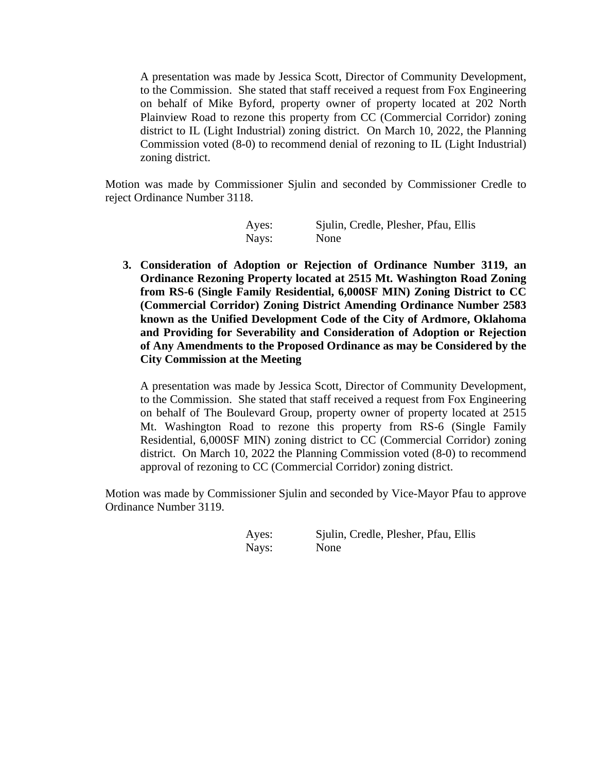A presentation was made by Jessica Scott, Director of Community Development, to the Commission. She stated that staff received a request from Fox Engineering on behalf of Mike Byford, property owner of property located at 202 North Plainview Road to rezone this property from CC (Commercial Corridor) zoning district to IL (Light Industrial) zoning district. On March 10, 2022, the Planning Commission voted (8-0) to recommend denial of rezoning to IL (Light Industrial) zoning district.

Motion was made by Commissioner Sjulin and seconded by Commissioner Credle to reject Ordinance Number 3118.

| Ayes: | Sjulin, Credle, Plesher, Pfau, Ellis |
|-------|--------------------------------------|
| Nays: | None                                 |

**3. Consideration of Adoption or Rejection of Ordinance Number 3119, an Ordinance Rezoning Property located at 2515 Mt. Washington Road Zoning from RS-6 (Single Family Residential, 6,000SF MIN) Zoning District to CC (Commercial Corridor) Zoning District Amending Ordinance Number 2583 known as the Unified Development Code of the City of Ardmore, Oklahoma and Providing for Severability and Consideration of Adoption or Rejection of Any Amendments to the Proposed Ordinance as may be Considered by the City Commission at the Meeting**

A presentation was made by Jessica Scott, Director of Community Development, to the Commission. She stated that staff received a request from Fox Engineering on behalf of The Boulevard Group, property owner of property located at 2515 Mt. Washington Road to rezone this property from RS-6 (Single Family Residential, 6,000SF MIN) zoning district to CC (Commercial Corridor) zoning district. On March 10, 2022 the Planning Commission voted (8-0) to recommend approval of rezoning to CC (Commercial Corridor) zoning district.

Motion was made by Commissioner Sjulin and seconded by Vice-Mayor Pfau to approve Ordinance Number 3119.

Nays: None

Ayes: Sjulin, Credle, Plesher, Pfau, Ellis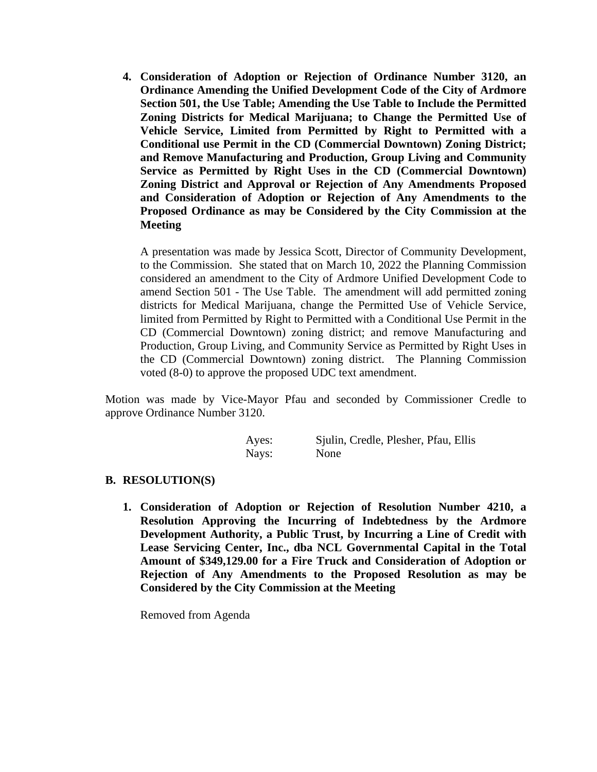**4. Consideration of Adoption or Rejection of Ordinance Number 3120, an Ordinance Amending the Unified Development Code of the City of Ardmore Section 501, the Use Table; Amending the Use Table to Include the Permitted Zoning Districts for Medical Marijuana; to Change the Permitted Use of Vehicle Service, Limited from Permitted by Right to Permitted with a Conditional use Permit in the CD (Commercial Downtown) Zoning District; and Remove Manufacturing and Production, Group Living and Community Service as Permitted by Right Uses in the CD (Commercial Downtown) Zoning District and Approval or Rejection of Any Amendments Proposed and Consideration of Adoption or Rejection of Any Amendments to the Proposed Ordinance as may be Considered by the City Commission at the Meeting**

A presentation was made by Jessica Scott, Director of Community Development, to the Commission. She stated that on March 10, 2022 the Planning Commission considered an amendment to the City of Ardmore Unified Development Code to amend Section 501 - The Use Table. The amendment will add permitted zoning districts for Medical Marijuana, change the Permitted Use of Vehicle Service, limited from Permitted by Right to Permitted with a Conditional Use Permit in the CD (Commercial Downtown) zoning district; and remove Manufacturing and Production, Group Living, and Community Service as Permitted by Right Uses in the CD (Commercial Downtown) zoning district. The Planning Commission voted (8-0) to approve the proposed UDC text amendment.

Motion was made by Vice-Mayor Pfau and seconded by Commissioner Credle to approve Ordinance Number 3120.

| Ayes: | Sjulin, Credle, Plesher, Pfau, Ellis |
|-------|--------------------------------------|
| Nays: | None                                 |

#### **B. RESOLUTION(S)**

**1. Consideration of Adoption or Rejection of Resolution Number 4210, a Resolution Approving the Incurring of Indebtedness by the Ardmore Development Authority, a Public Trust, by Incurring a Line of Credit with Lease Servicing Center, Inc., dba NCL Governmental Capital in the Total Amount of \$349,129.00 for a Fire Truck and Consideration of Adoption or Rejection of Any Amendments to the Proposed Resolution as may be Considered by the City Commission at the Meeting**

Removed from Agenda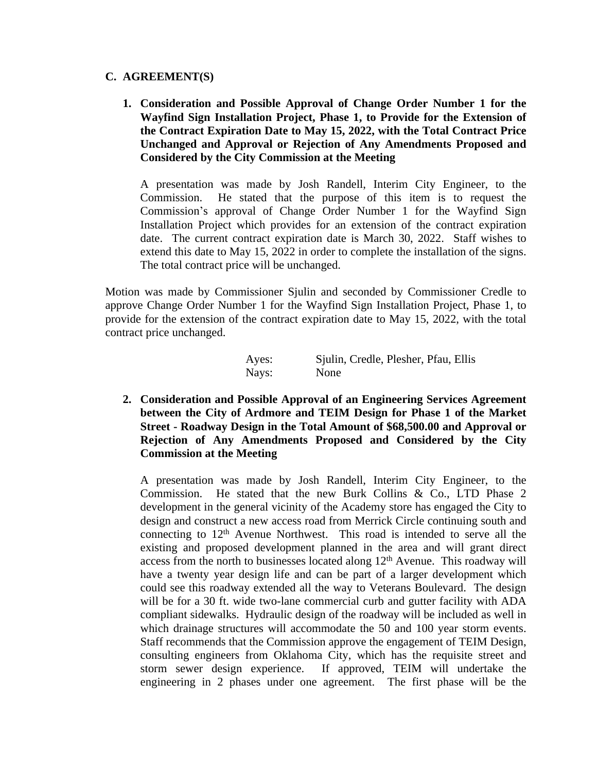#### **C. AGREEMENT(S)**

**1. Consideration and Possible Approval of Change Order Number 1 for the Wayfind Sign Installation Project, Phase 1, to Provide for the Extension of the Contract Expiration Date to May 15, 2022, with the Total Contract Price Unchanged and Approval or Rejection of Any Amendments Proposed and Considered by the City Commission at the Meeting**

A presentation was made by Josh Randell, Interim City Engineer, to the Commission. He stated that the purpose of this item is to request the Commission's approval of Change Order Number 1 for the Wayfind Sign Installation Project which provides for an extension of the contract expiration date. The current contract expiration date is March 30, 2022. Staff wishes to extend this date to May 15, 2022 in order to complete the installation of the signs. The total contract price will be unchanged.

Motion was made by Commissioner Sjulin and seconded by Commissioner Credle to approve Change Order Number 1 for the Wayfind Sign Installation Project, Phase 1, to provide for the extension of the contract expiration date to May 15, 2022, with the total contract price unchanged.

| Ayes: | Sjulin, Credle, Plesher, Pfau, Ellis |  |  |
|-------|--------------------------------------|--|--|
| Nays: | None                                 |  |  |

**2. Consideration and Possible Approval of an Engineering Services Agreement between the City of Ardmore and TEIM Design for Phase 1 of the Market Street - Roadway Design in the Total Amount of \$68,500.00 and Approval or Rejection of Any Amendments Proposed and Considered by the City Commission at the Meeting**

A presentation was made by Josh Randell, Interim City Engineer, to the Commission. He stated that the new Burk Collins & Co., LTD Phase 2 development in the general vicinity of the Academy store has engaged the City to design and construct a new access road from Merrick Circle continuing south and connecting to  $12<sup>th</sup>$  Avenue Northwest. This road is intended to serve all the existing and proposed development planned in the area and will grant direct access from the north to businesses located along 12<sup>th</sup> Avenue. This roadway will have a twenty year design life and can be part of a larger development which could see this roadway extended all the way to Veterans Boulevard. The design will be for a 30 ft. wide two-lane commercial curb and gutter facility with ADA compliant sidewalks. Hydraulic design of the roadway will be included as well in which drainage structures will accommodate the 50 and 100 year storm events. Staff recommends that the Commission approve the engagement of TEIM Design, consulting engineers from Oklahoma City, which has the requisite street and storm sewer design experience. If approved, TEIM will undertake the engineering in 2 phases under one agreement. The first phase will be the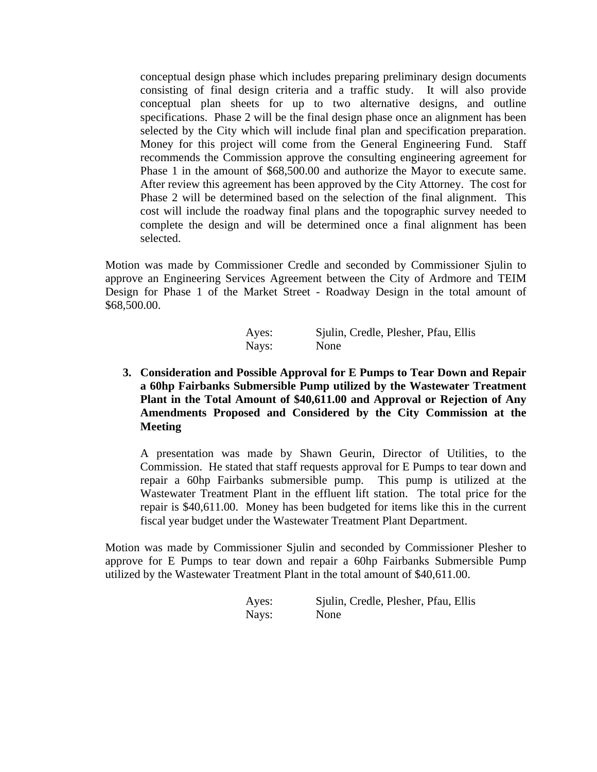conceptual design phase which includes preparing preliminary design documents consisting of final design criteria and a traffic study. It will also provide conceptual plan sheets for up to two alternative designs, and outline specifications. Phase 2 will be the final design phase once an alignment has been selected by the City which will include final plan and specification preparation. Money for this project will come from the General Engineering Fund. Staff recommends the Commission approve the consulting engineering agreement for Phase 1 in the amount of \$68,500.00 and authorize the Mayor to execute same. After review this agreement has been approved by the City Attorney. The cost for Phase 2 will be determined based on the selection of the final alignment. This cost will include the roadway final plans and the topographic survey needed to complete the design and will be determined once a final alignment has been selected.

Motion was made by Commissioner Credle and seconded by Commissioner Sjulin to approve an Engineering Services Agreement between the City of Ardmore and TEIM Design for Phase 1 of the Market Street - Roadway Design in the total amount of \$68,500.00.

| Ayes: | Sjulin, Credle, Plesher, Pfau, Ellis |  |  |
|-------|--------------------------------------|--|--|
| Nays: | None                                 |  |  |

## **3. Consideration and Possible Approval for E Pumps to Tear Down and Repair a 60hp Fairbanks Submersible Pump utilized by the Wastewater Treatment Plant in the Total Amount of \$40,611.00 and Approval or Rejection of Any Amendments Proposed and Considered by the City Commission at the Meeting**

A presentation was made by Shawn Geurin, Director of Utilities, to the Commission. He stated that staff requests approval for E Pumps to tear down and repair a 60hp Fairbanks submersible pump. This pump is utilized at the Wastewater Treatment Plant in the effluent lift station. The total price for the repair is \$40,611.00. Money has been budgeted for items like this in the current fiscal year budget under the Wastewater Treatment Plant Department.

Motion was made by Commissioner Sjulin and seconded by Commissioner Plesher to approve for E Pumps to tear down and repair a 60hp Fairbanks Submersible Pump utilized by the Wastewater Treatment Plant in the total amount of \$40,611.00.

| Ayes: | Sjulin, Credle, Plesher, Pfau, Ellis |  |
|-------|--------------------------------------|--|
| Nays: | None                                 |  |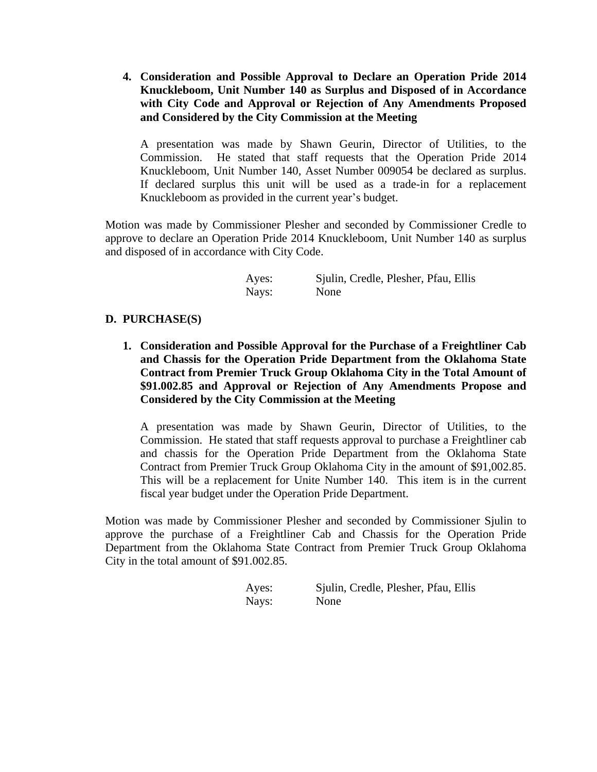**4. Consideration and Possible Approval to Declare an Operation Pride 2014 Knuckleboom, Unit Number 140 as Surplus and Disposed of in Accordance with City Code and Approval or Rejection of Any Amendments Proposed and Considered by the City Commission at the Meeting**

A presentation was made by Shawn Geurin, Director of Utilities, to the Commission. He stated that staff requests that the Operation Pride 2014 Knuckleboom, Unit Number 140, Asset Number 009054 be declared as surplus. If declared surplus this unit will be used as a trade-in for a replacement Knuckleboom as provided in the current year's budget.

Motion was made by Commissioner Plesher and seconded by Commissioner Credle to approve to declare an Operation Pride 2014 Knuckleboom, Unit Number 140 as surplus and disposed of in accordance with City Code.

> Ayes: Sjulin, Credle, Plesher, Pfau, Ellis Nays: None

### **D. PURCHASE(S)**

**1. Consideration and Possible Approval for the Purchase of a Freightliner Cab and Chassis for the Operation Pride Department from the Oklahoma State Contract from Premier Truck Group Oklahoma City in the Total Amount of \$91.002.85 and Approval or Rejection of Any Amendments Propose and Considered by the City Commission at the Meeting**

A presentation was made by Shawn Geurin, Director of Utilities, to the Commission. He stated that staff requests approval to purchase a Freightliner cab and chassis for the Operation Pride Department from the Oklahoma State Contract from Premier Truck Group Oklahoma City in the amount of \$91,002.85. This will be a replacement for Unite Number 140. This item is in the current fiscal year budget under the Operation Pride Department.

Motion was made by Commissioner Plesher and seconded by Commissioner Sjulin to approve the purchase of a Freightliner Cab and Chassis for the Operation Pride Department from the Oklahoma State Contract from Premier Truck Group Oklahoma City in the total amount of \$91.002.85.

| Ayes: | Sjulin, Credle, Plesher, Pfau, Ellis |
|-------|--------------------------------------|
| Nays: | None                                 |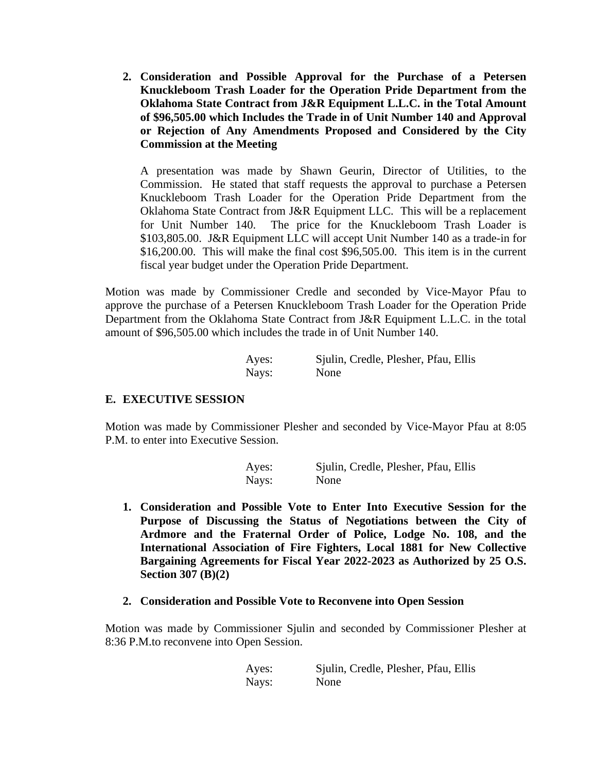**2. Consideration and Possible Approval for the Purchase of a Petersen Knuckleboom Trash Loader for the Operation Pride Department from the Oklahoma State Contract from J&R Equipment L.L.C. in the Total Amount of \$96,505.00 which Includes the Trade in of Unit Number 140 and Approval or Rejection of Any Amendments Proposed and Considered by the City Commission at the Meeting**

A presentation was made by Shawn Geurin, Director of Utilities, to the Commission. He stated that staff requests the approval to purchase a Petersen Knuckleboom Trash Loader for the Operation Pride Department from the Oklahoma State Contract from J&R Equipment LLC. This will be a replacement for Unit Number 140. The price for the Knuckleboom Trash Loader is \$103,805.00. J&R Equipment LLC will accept Unit Number 140 as a trade-in for \$16,200.00. This will make the final cost \$96,505.00. This item is in the current fiscal year budget under the Operation Pride Department.

Motion was made by Commissioner Credle and seconded by Vice-Mayor Pfau to approve the purchase of a Petersen Knuckleboom Trash Loader for the Operation Pride Department from the Oklahoma State Contract from J&R Equipment L.L.C. in the total amount of \$96,505.00 which includes the trade in of Unit Number 140.

| Ayes: | Sjulin, Credle, Plesher, Pfau, Ellis |
|-------|--------------------------------------|
| Nays: | None                                 |

## **E. EXECUTIVE SESSION**

Motion was made by Commissioner Plesher and seconded by Vice-Mayor Pfau at 8:05 P.M. to enter into Executive Session.

| Ayes: | Sjulin, Credle, Plesher, Pfau, Ellis |
|-------|--------------------------------------|
| Nays: | None                                 |

- **1. Consideration and Possible Vote to Enter Into Executive Session for the Purpose of Discussing the Status of Negotiations between the City of Ardmore and the Fraternal Order of Police, Lodge No. 108, and the International Association of Fire Fighters, Local 1881 for New Collective Bargaining Agreements for Fiscal Year 2022-2023 as Authorized by 25 O.S. Section 307 (B)(2)**
- **2. Consideration and Possible Vote to Reconvene into Open Session**

Motion was made by Commissioner Sjulin and seconded by Commissioner Plesher at 8:36 P.M.to reconvene into Open Session.

| Ayes: | Sjulin, Credle, Plesher, Pfau, Ellis |  |  |
|-------|--------------------------------------|--|--|
| Nays: | None                                 |  |  |